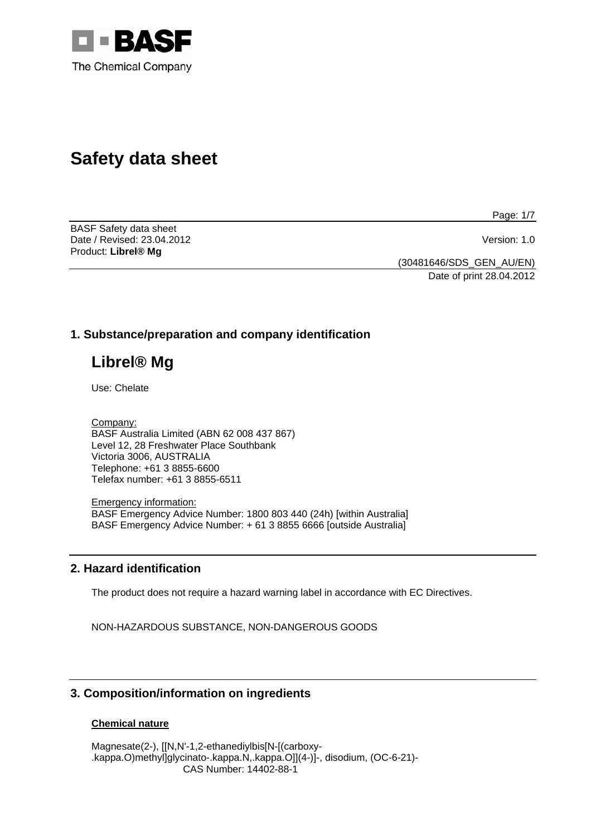

# **Safety data sheet**

Page: 1/7

BASF Safety data sheet Date / Revised: 23.04.2012 Version: 1.0 Product: **Librel® Mg** 

(30481646/SDS\_GEN\_AU/EN)

Date of print 28.04.2012

## **1. Substance/preparation and company identification**

# **Librel® Mg**

Use: Chelate

Company: BASF Australia Limited (ABN 62 008 437 867) Level 12, 28 Freshwater Place Southbank Victoria 3006, AUSTRALIA Telephone: +61 3 8855-6600 Telefax number: +61 3 8855-6511

Emergency information: BASF Emergency Advice Number: 1800 803 440 (24h) [within Australia] BASF Emergency Advice Number: + 61 3 8855 6666 [outside Australia]

## **2. Hazard identification**

The product does not require a hazard warning label in accordance with EC Directives.

NON-HAZARDOUS SUBSTANCE, NON-DANGEROUS GOODS

## **3. Composition/information on ingredients**

## **Chemical nature**

Magnesate(2-), [[N,N'-1,2-ethanediylbis[N-[(carboxy- .kappa.O)methyl]glycinato-.kappa.N,.kappa.O]](4-)]-, disodium, (OC-6-21)- CAS Number: 14402-88-1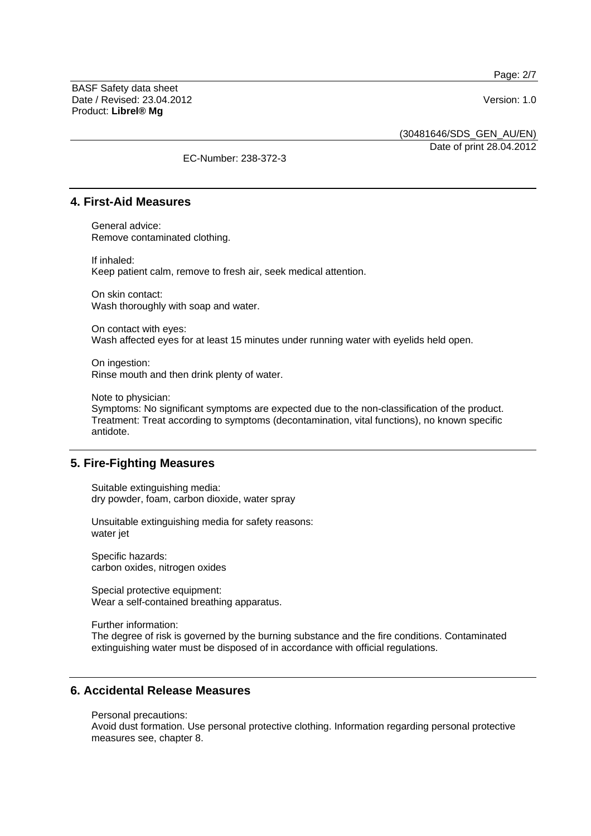Page: 2/7

BASF Safety data sheet Date / Revised: 23.04.2012 Version: 1.0 Product: **Librel® Mg**

(30481646/SDS\_GEN\_AU/EN)

Date of print 28.04.2012

EC-Number: 238-372-3

## **4. First-Aid Measures**

General advice: Remove contaminated clothing.

If inhaled: Keep patient calm, remove to fresh air, seek medical attention.

On skin contact: Wash thoroughly with soap and water.

On contact with eyes: Wash affected eyes for at least 15 minutes under running water with eyelids held open.

On ingestion: Rinse mouth and then drink plenty of water.

Note to physician:

Symptoms: No significant symptoms are expected due to the non-classification of the product. Treatment: Treat according to symptoms (decontamination, vital functions), no known specific antidote.

## **5. Fire-Fighting Measures**

Suitable extinguishing media: dry powder, foam, carbon dioxide, water spray

Unsuitable extinguishing media for safety reasons: water jet

Specific hazards: carbon oxides, nitrogen oxides

Special protective equipment: Wear a self-contained breathing apparatus.

Further information:

The degree of risk is governed by the burning substance and the fire conditions. Contaminated extinguishing water must be disposed of in accordance with official regulations.

## **6. Accidental Release Measures**

Personal precautions:

Avoid dust formation. Use personal protective clothing. Information regarding personal protective measures see, chapter 8.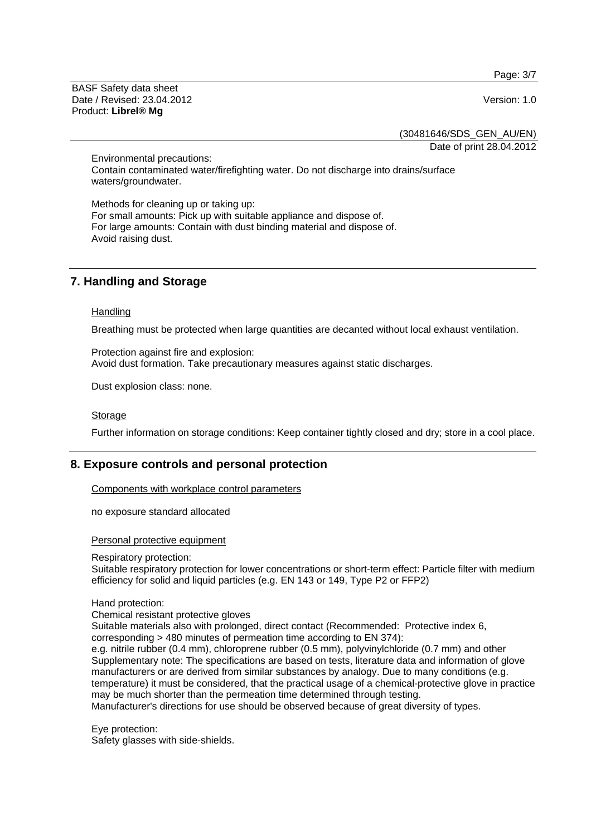Page: 3/7

BASF Safety data sheet Date / Revised: 23.04.2012 Version: 1.0 Product: **Librel® Mg**

(30481646/SDS\_GEN\_AU/EN)

Date of print 28.04.2012

Environmental precautions: Contain contaminated water/firefighting water. Do not discharge into drains/surface waters/groundwater.

Methods for cleaning up or taking up: For small amounts: Pick up with suitable appliance and dispose of. For large amounts: Contain with dust binding material and dispose of. Avoid raising dust.

## **7. Handling and Storage**

#### **Handling**

Breathing must be protected when large quantities are decanted without local exhaust ventilation.

Protection against fire and explosion: Avoid dust formation. Take precautionary measures against static discharges.

Dust explosion class: none.

#### Storage

Further information on storage conditions: Keep container tightly closed and dry; store in a cool place.

## **8. Exposure controls and personal protection**

Components with workplace control parameters

no exposure standard allocated

#### Personal protective equipment

#### Respiratory protection:

Suitable respiratory protection for lower concentrations or short-term effect: Particle filter with medium efficiency for solid and liquid particles (e.g. EN 143 or 149, Type P2 or FFP2)

#### Hand protection:

Chemical resistant protective gloves

Suitable materials also with prolonged, direct contact (Recommended: Protective index 6, corresponding > 480 minutes of permeation time according to EN 374):

e.g. nitrile rubber (0.4 mm), chloroprene rubber (0.5 mm), polyvinylchloride (0.7 mm) and other Supplementary note: The specifications are based on tests, literature data and information of glove manufacturers or are derived from similar substances by analogy. Due to many conditions (e.g. temperature) it must be considered, that the practical usage of a chemical-protective glove in practice may be much shorter than the permeation time determined through testing.

Manufacturer's directions for use should be observed because of great diversity of types.

Eye protection: Safety glasses with side-shields.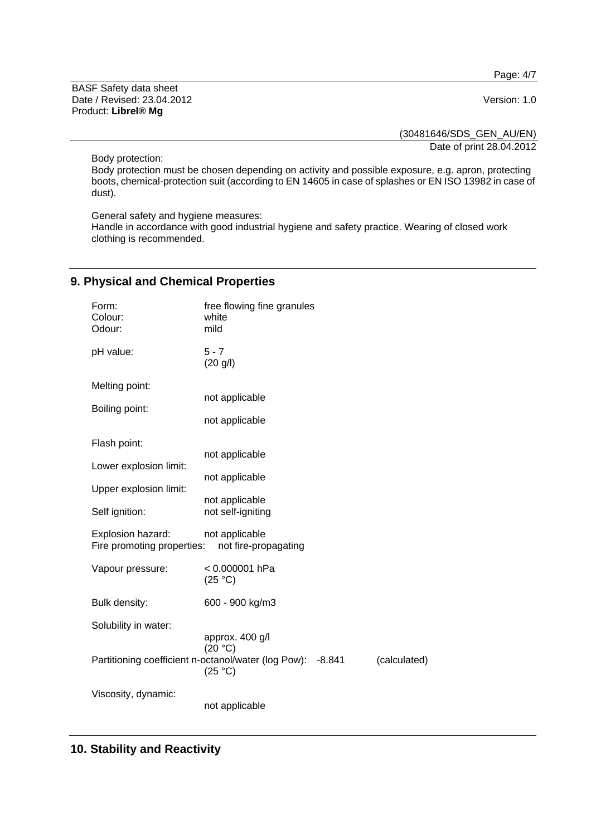Page: 4/7

BASF Safety data sheet Date / Revised: 23.04.2012 Version: 1.0 Product: **Librel® Mg**

(30481646/SDS\_GEN\_AU/EN)

Date of print 28.04.2012

Body protection:

Body protection must be chosen depending on activity and possible exposure, e.g. apron, protecting boots, chemical-protection suit (according to EN 14605 in case of splashes or EN ISO 13982 in case of dust).

General safety and hygiene measures:

Handle in accordance with good industrial hygiene and safety practice. Wearing of closed work clothing is recommended.

## **9. Physical and Chemical Properties**

| Form:<br>Colour:<br>Odour:                      | free flowing fine granules<br>white<br>mild                                                              |              |
|-------------------------------------------------|----------------------------------------------------------------------------------------------------------|--------------|
| pH value:                                       | $5 - 7$<br>(20 g/l)                                                                                      |              |
| Melting point:                                  | not applicable                                                                                           |              |
| Boiling point:                                  | not applicable                                                                                           |              |
| Flash point:                                    | not applicable                                                                                           |              |
| Lower explosion limit:                          | not applicable                                                                                           |              |
| Upper explosion limit:                          | not applicable                                                                                           |              |
| Self ignition:                                  | not self-igniting                                                                                        |              |
| Explosion hazard:<br>Fire promoting properties: | not applicable<br>not fire-propagating                                                                   |              |
| Vapour pressure:                                | < 0.000001 hPa<br>(25 °C)                                                                                |              |
| Bulk density:                                   | 600 - 900 kg/m3                                                                                          |              |
| Solubility in water:                            |                                                                                                          |              |
|                                                 | approx. 400 g/l<br>(20 °C)<br>Partitioning coefficient n-octanol/water (log Pow):<br>$-8.841$<br>(25 °C) | (calculated) |
| Viscosity, dynamic:                             | not applicable                                                                                           |              |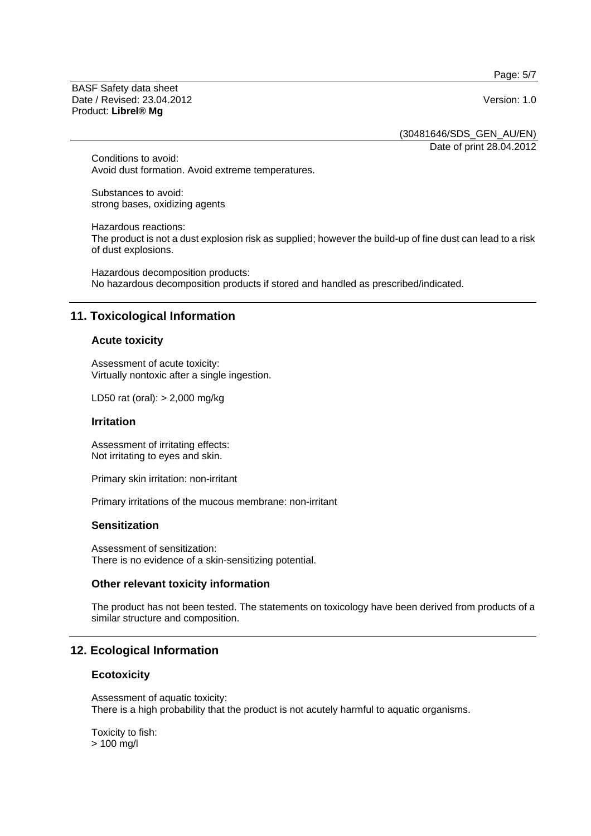Page: 5/7

BASF Safety data sheet Date / Revised: 23.04.2012 Version: 1.0 Product: **Librel® Mg**

(30481646/SDS\_GEN\_AU/EN)

Date of print 28.04.2012

Conditions to avoid: Avoid dust formation. Avoid extreme temperatures.

Substances to avoid: strong bases, oxidizing agents

Hazardous reactions: The product is not a dust explosion risk as supplied; however the build-up of fine dust can lead to a risk of dust explosions.

Hazardous decomposition products: No hazardous decomposition products if stored and handled as prescribed/indicated.

## **11. Toxicological Information**

#### **Acute toxicity**

Assessment of acute toxicity: Virtually nontoxic after a single ingestion.

LD50 rat (oral): > 2,000 mg/kg

#### **Irritation**

Assessment of irritating effects: Not irritating to eyes and skin.

Primary skin irritation: non-irritant

Primary irritations of the mucous membrane: non-irritant

#### **Sensitization**

Assessment of sensitization: There is no evidence of a skin-sensitizing potential.

#### **Other relevant toxicity information**

The product has not been tested. The statements on toxicology have been derived from products of a similar structure and composition.

## **12. Ecological Information**

#### **Ecotoxicity**

Assessment of aquatic toxicity: There is a high probability that the product is not acutely harmful to aquatic organisms.

Toxicity to fish: > 100 mg/l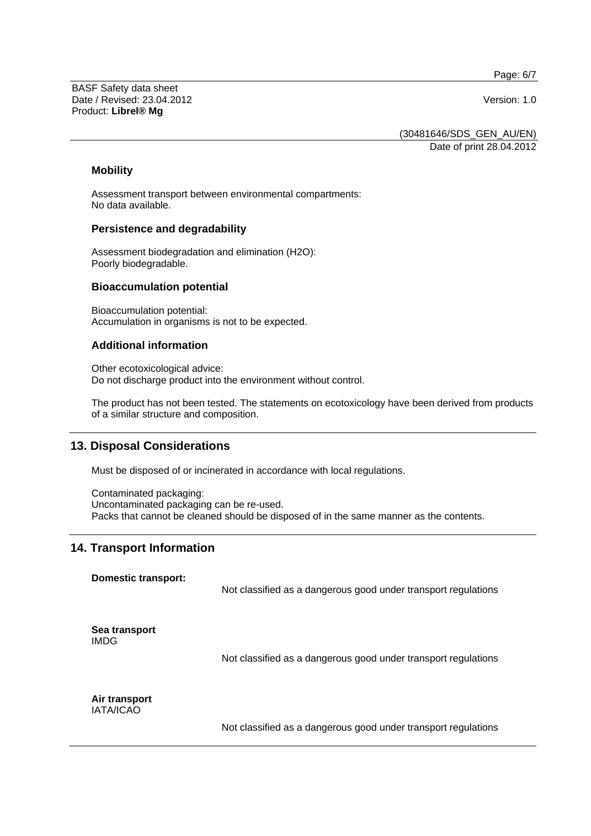Page: 6/7

BASF Safety data sheet Date / Revised: 23.04.2012 Version: 1.0 Product: **Librel® Mg**

(30481646/SDS\_GEN\_AU/EN)

Date of print 28.04.2012

#### **Mobility**

Assessment transport between environmental compartments: No data available.

#### **Persistence and degradability**

Assessment biodegradation and elimination (H2O): Poorly biodegradable.

### **Bioaccumulation potential**

Bioaccumulation potential: Accumulation in organisms is not to be expected.

## **Additional information**

Other ecotoxicological advice: Do not discharge product into the environment without control.

The product has not been tested. The statements on ecotoxicology have been derived from products of a similar structure and composition.

## **13. Disposal Considerations**

Must be disposed of or incinerated in accordance with local regulations.

Contaminated packaging: Uncontaminated packaging can be re-used. Packs that cannot be cleaned should be disposed of in the same manner as the contents.

## **14. Transport Information**

**Domestic transport:**  Not classified as a dangerous good under transport regulations **Sea transport**  IMDG Not classified as a dangerous good under transport regulations **Air transport**  IATA/ICAO

Not classified as a dangerous good under transport regulations